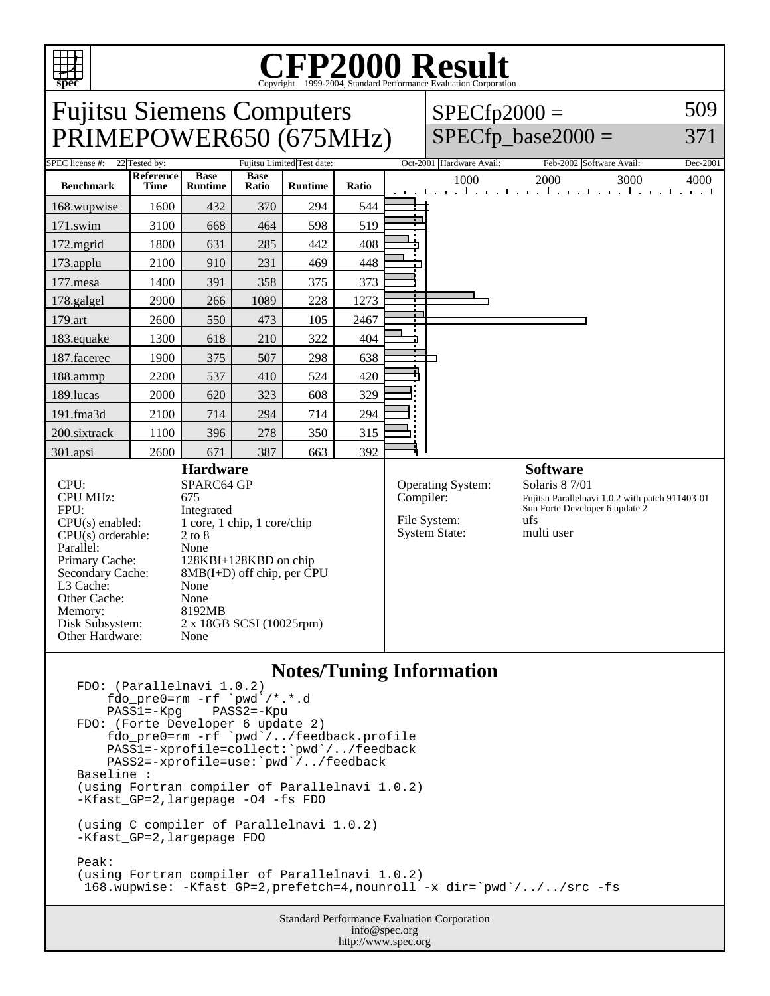

## **Notes/Tuning Information**

```
FDO: (Parallelnavi 1.0.2)
    fdo_pre0=rm -rf `pwd<sup>`</sup>/*.*.d<br>PASS1=-Kpg PASS2=-Kpu
    PASS1=-KpgFDO: (Forte Developer 6 update 2)
 fdo_pre0=rm -rf `pwd`/../feedback.profile
 PASS1=-xprofile=collect:`pwd`/../feedback
 PASS2=-xprofile=use:`pwd`/../feedback
Baseline :
(using Fortran compiler of Parallelnavi 1.0.2)
-Kfast GP=2, largepage -O4 -fs FDO
(using C compiler of Parallelnavi 1.0.2)
-Kfast_GP=2,largepage FDO
Peak:
(using Fortran compiler of Parallelnavi 1.0.2)
  168.wupwise: -Kfast_GP=2,prefetch=4,nounroll -x dir=`pwd`/../../src -fs
```
Standard Performance Evaluation Corporation info@spec.org http://www.spec.org